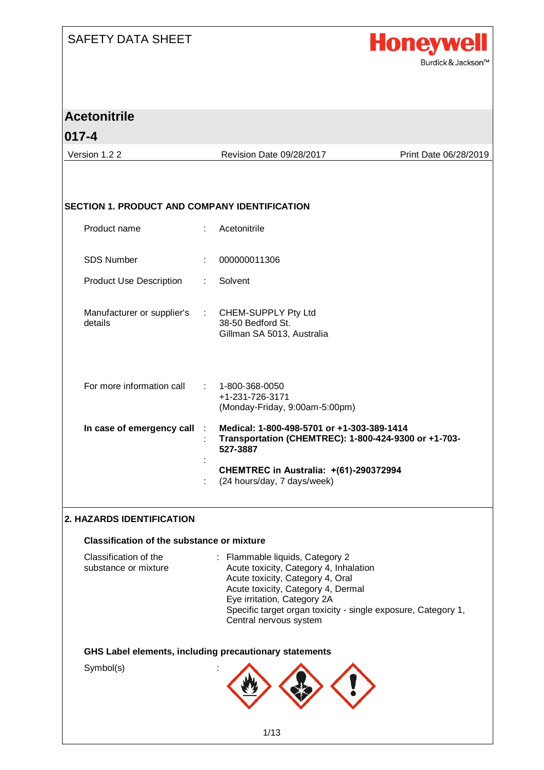

| <b>Acetonitrile</b>                                  |                           |                                                                                                                                                     |                       |
|------------------------------------------------------|---------------------------|-----------------------------------------------------------------------------------------------------------------------------------------------------|-----------------------|
| $017 - 4$                                            |                           |                                                                                                                                                     |                       |
| Version 1.2 2                                        |                           | Revision Date 09/28/2017                                                                                                                            | Print Date 06/28/2019 |
|                                                      |                           |                                                                                                                                                     |                       |
|                                                      |                           |                                                                                                                                                     |                       |
| <b>SECTION 1. PRODUCT AND COMPANY IDENTIFICATION</b> |                           |                                                                                                                                                     |                       |
| Product name                                         | $\mathbb{R}^{\mathbb{Z}}$ | Acetonitrile                                                                                                                                        |                       |
| <b>SDS Number</b>                                    |                           | 000000011306                                                                                                                                        |                       |
| <b>Product Use Description</b>                       |                           | Solvent                                                                                                                                             |                       |
| Manufacturer or supplier's                           |                           | CHEM-SUPPLY Pty Ltd                                                                                                                                 |                       |
| details                                              |                           | 38-50 Bedford St.<br>Gillman SA 5013, Australia                                                                                                     |                       |
|                                                      |                           |                                                                                                                                                     |                       |
| For more information call                            |                           | 1-800-368-0050<br>+1-231-726-3171                                                                                                                   |                       |
|                                                      |                           | (Monday-Friday, 9:00am-5:00pm)                                                                                                                      |                       |
| In case of emergency call                            |                           | Medical: 1-800-498-5701 or +1-303-389-1414<br>Transportation (CHEMTREC): 1-800-424-9300 or +1-703-<br>527-3887                                      |                       |
|                                                      |                           | CHEMTREC in Australia: +(61)-290372994<br>(24 hours/day, 7 days/week)                                                                               |                       |
|                                                      |                           |                                                                                                                                                     |                       |
| 2. HAZARDS IDENTIFICATION                            |                           |                                                                                                                                                     |                       |
| <b>Classification of the substance or mixture</b>    |                           |                                                                                                                                                     |                       |
| Classification of the<br>substance or mixture        |                           | : Flammable liquids, Category 2<br>Acute toxicity, Category 4, Inhalation<br>Acute toxicity, Category 4, Oral<br>Acute toxicity, Category 4, Dermal |                       |
|                                                      |                           | Eye irritation, Category 2A<br>Specific target organ toxicity - single exposure, Category 1,<br>Central nervous system                              |                       |
|                                                      |                           | GHS Label elements, including precautionary statements                                                                                              |                       |
| Symbol(s)                                            |                           |                                                                                                                                                     |                       |
|                                                      |                           |                                                                                                                                                     |                       |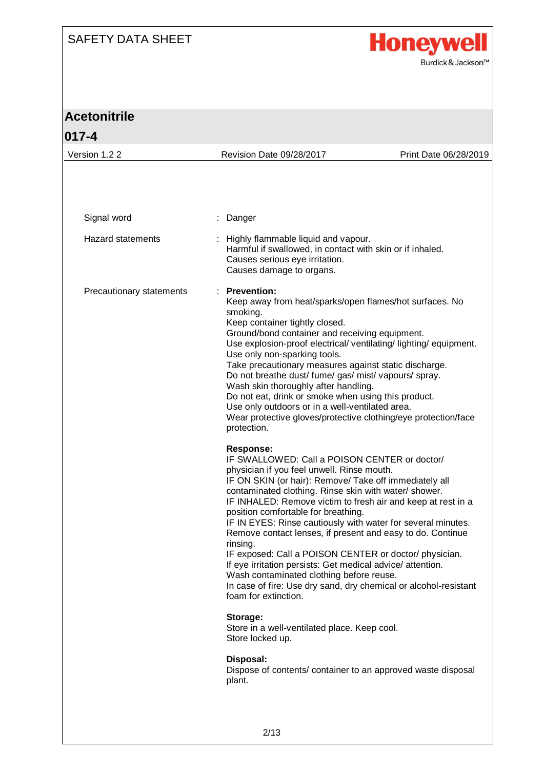

| <b>Acetonitrile</b>      |                                                                                                                                                                                                                                                                                                                                                                                                                                                                                                                                                                                                                                                                                                                                                                                                                                                                                                                                                                                                                                                                                                                                                                                                                                                                                                                                                                                                                                                                                                                                                                 |                       |
|--------------------------|-----------------------------------------------------------------------------------------------------------------------------------------------------------------------------------------------------------------------------------------------------------------------------------------------------------------------------------------------------------------------------------------------------------------------------------------------------------------------------------------------------------------------------------------------------------------------------------------------------------------------------------------------------------------------------------------------------------------------------------------------------------------------------------------------------------------------------------------------------------------------------------------------------------------------------------------------------------------------------------------------------------------------------------------------------------------------------------------------------------------------------------------------------------------------------------------------------------------------------------------------------------------------------------------------------------------------------------------------------------------------------------------------------------------------------------------------------------------------------------------------------------------------------------------------------------------|-----------------------|
| $017 - 4$                |                                                                                                                                                                                                                                                                                                                                                                                                                                                                                                                                                                                                                                                                                                                                                                                                                                                                                                                                                                                                                                                                                                                                                                                                                                                                                                                                                                                                                                                                                                                                                                 |                       |
| Version 1.2 2            | Revision Date 09/28/2017                                                                                                                                                                                                                                                                                                                                                                                                                                                                                                                                                                                                                                                                                                                                                                                                                                                                                                                                                                                                                                                                                                                                                                                                                                                                                                                                                                                                                                                                                                                                        | Print Date 06/28/2019 |
|                          |                                                                                                                                                                                                                                                                                                                                                                                                                                                                                                                                                                                                                                                                                                                                                                                                                                                                                                                                                                                                                                                                                                                                                                                                                                                                                                                                                                                                                                                                                                                                                                 |                       |
| Signal word              | Danger                                                                                                                                                                                                                                                                                                                                                                                                                                                                                                                                                                                                                                                                                                                                                                                                                                                                                                                                                                                                                                                                                                                                                                                                                                                                                                                                                                                                                                                                                                                                                          |                       |
| <b>Hazard statements</b> | : Highly flammable liquid and vapour.<br>Harmful if swallowed, in contact with skin or if inhaled.<br>Causes serious eye irritation.<br>Causes damage to organs.                                                                                                                                                                                                                                                                                                                                                                                                                                                                                                                                                                                                                                                                                                                                                                                                                                                                                                                                                                                                                                                                                                                                                                                                                                                                                                                                                                                                |                       |
| Precautionary statements | : Prevention:<br>Keep away from heat/sparks/open flames/hot surfaces. No<br>smoking.<br>Keep container tightly closed.<br>Ground/bond container and receiving equipment.<br>Use explosion-proof electrical/ ventilating/ lighting/ equipment.<br>Use only non-sparking tools.<br>Take precautionary measures against static discharge.<br>Do not breathe dust/ fume/ gas/ mist/ vapours/ spray.<br>Wash skin thoroughly after handling.<br>Do not eat, drink or smoke when using this product.<br>Use only outdoors or in a well-ventilated area.<br>Wear protective gloves/protective clothing/eye protection/face<br>protection.<br><b>Response:</b><br>IF SWALLOWED: Call a POISON CENTER or doctor/<br>physician if you feel unwell. Rinse mouth.<br>IF ON SKIN (or hair): Remove/ Take off immediately all<br>contaminated clothing. Rinse skin with water/ shower.<br>IF INHALED: Remove victim to fresh air and keep at rest in a<br>position comfortable for breathing.<br>IF IN EYES: Rinse cautiously with water for several minutes.<br>Remove contact lenses, if present and easy to do. Continue<br>rinsing.<br>IF exposed: Call a POISON CENTER or doctor/ physician.<br>If eye irritation persists: Get medical advice/attention.<br>Wash contaminated clothing before reuse.<br>In case of fire: Use dry sand, dry chemical or alcohol-resistant<br>foam for extinction.<br>Storage:<br>Store in a well-ventilated place. Keep cool.<br>Store locked up.<br>Disposal:<br>Dispose of contents/ container to an approved waste disposal<br>plant. |                       |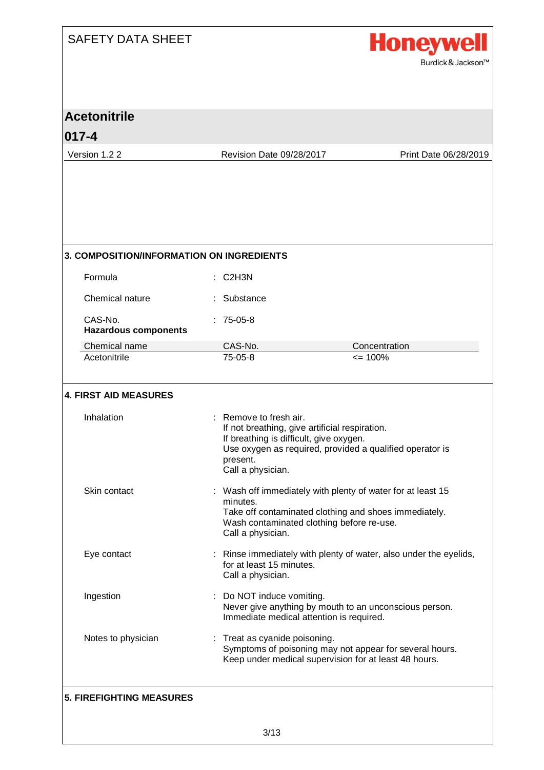

| <b>Acetonitrile</b><br>$017 - 4$                 |                                                                                                                                                      |                                                                                                                                                                 |
|--------------------------------------------------|------------------------------------------------------------------------------------------------------------------------------------------------------|-----------------------------------------------------------------------------------------------------------------------------------------------------------------|
| Version 1.2 2                                    | Revision Date 09/28/2017                                                                                                                             | Print Date 06/28/2019                                                                                                                                           |
|                                                  |                                                                                                                                                      |                                                                                                                                                                 |
| <b>3. COMPOSITION/INFORMATION ON INGREDIENTS</b> |                                                                                                                                                      |                                                                                                                                                                 |
| Formula                                          | C <sub>2</sub> H <sub>3N</sub>                                                                                                                       |                                                                                                                                                                 |
| Chemical nature                                  | Substance                                                                                                                                            |                                                                                                                                                                 |
| CAS-No.<br><b>Hazardous components</b>           | $: 75-05-8$                                                                                                                                          |                                                                                                                                                                 |
| Chemical name                                    | CAS-No.                                                                                                                                              | Concentration                                                                                                                                                   |
| Acetonitrile<br><b>4. FIRST AID MEASURES</b>     | $75-05-8$                                                                                                                                            | $= 100%$                                                                                                                                                        |
| Inhalation                                       | : Remove to fresh air.<br>If not breathing, give artificial respiration.<br>If breathing is difficult, give oxygen.<br>present.<br>Call a physician. | Use oxygen as required, provided a qualified operator is                                                                                                        |
| Skin contact                                     | minutes.<br>Call a physician.                                                                                                                        | Wash off immediately with plenty of water for at least 15<br>Take off contaminated clothing and shoes immediately.<br>Wash contaminated clothing before re-use. |
| Eye contact                                      | for at least 15 minutes.<br>Call a physician.                                                                                                        | Rinse immediately with plenty of water, also under the eyelids,                                                                                                 |
| Ingestion                                        | : Do NOT induce vomiting.<br>Immediate medical attention is required.                                                                                | Never give anything by mouth to an unconscious person.                                                                                                          |
| Notes to physician                               | : Treat as cyanide poisoning.                                                                                                                        | Symptoms of poisoning may not appear for several hours.<br>Keep under medical supervision for at least 48 hours.                                                |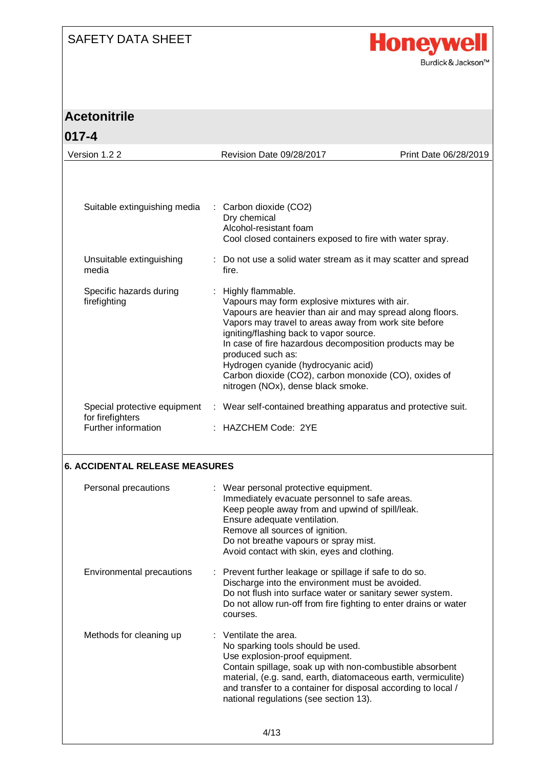

# **Acetonitrile**

| $ 017 - 4$                                       |       |                                                                                                                                                                                                                                                                                                                                                                                                                                                           |                       |
|--------------------------------------------------|-------|-----------------------------------------------------------------------------------------------------------------------------------------------------------------------------------------------------------------------------------------------------------------------------------------------------------------------------------------------------------------------------------------------------------------------------------------------------------|-----------------------|
| Version 1.2 2                                    |       | Revision Date 09/28/2017                                                                                                                                                                                                                                                                                                                                                                                                                                  | Print Date 06/28/2019 |
|                                                  |       |                                                                                                                                                                                                                                                                                                                                                                                                                                                           |                       |
| Suitable extinguishing media                     |       | : Carbon dioxide (CO2)<br>Dry chemical<br>Alcohol-resistant foam<br>Cool closed containers exposed to fire with water spray.                                                                                                                                                                                                                                                                                                                              |                       |
| Unsuitable extinguishing<br>media                | fire. | : Do not use a solid water stream as it may scatter and spread                                                                                                                                                                                                                                                                                                                                                                                            |                       |
| Specific hazards during<br>firefighting          |       | Highly flammable.<br>Vapours may form explosive mixtures with air.<br>Vapours are heavier than air and may spread along floors.<br>Vapors may travel to areas away from work site before<br>igniting/flashing back to vapor source.<br>In case of fire hazardous decomposition products may be<br>produced such as:<br>Hydrogen cyanide (hydrocyanic acid)<br>Carbon dioxide (CO2), carbon monoxide (CO), oxides of<br>nitrogen (NOx), dense black smoke. |                       |
| Special protective equipment<br>for firefighters |       | : Wear self-contained breathing apparatus and protective suit.                                                                                                                                                                                                                                                                                                                                                                                            |                       |
| Further information                              |       | $\pm$ HAZCHEM Code: 2YE                                                                                                                                                                                                                                                                                                                                                                                                                                   |                       |
|                                                  |       |                                                                                                                                                                                                                                                                                                                                                                                                                                                           |                       |

#### **6. ACCIDENTAL RELEASE MEASURES**

| Personal precautions      | : Wear personal protective equipment.<br>Immediately evacuate personnel to safe areas.<br>Keep people away from and upwind of spill/leak.<br>Ensure adequate ventilation.<br>Remove all sources of ignition.<br>Do not breathe vapours or spray mist.<br>Avoid contact with skin, eyes and clothing.                                   |
|---------------------------|----------------------------------------------------------------------------------------------------------------------------------------------------------------------------------------------------------------------------------------------------------------------------------------------------------------------------------------|
| Environmental precautions | : Prevent further leakage or spillage if safe to do so.<br>Discharge into the environment must be avoided.<br>Do not flush into surface water or sanitary sewer system.<br>Do not allow run-off from fire fighting to enter drains or water<br>courses.                                                                                |
| Methods for cleaning up   | $:$ Ventilate the area.<br>No sparking tools should be used.<br>Use explosion-proof equipment.<br>Contain spillage, soak up with non-combustible absorbent<br>material, (e.g. sand, earth, diatomaceous earth, vermiculite)<br>and transfer to a container for disposal according to local /<br>national regulations (see section 13). |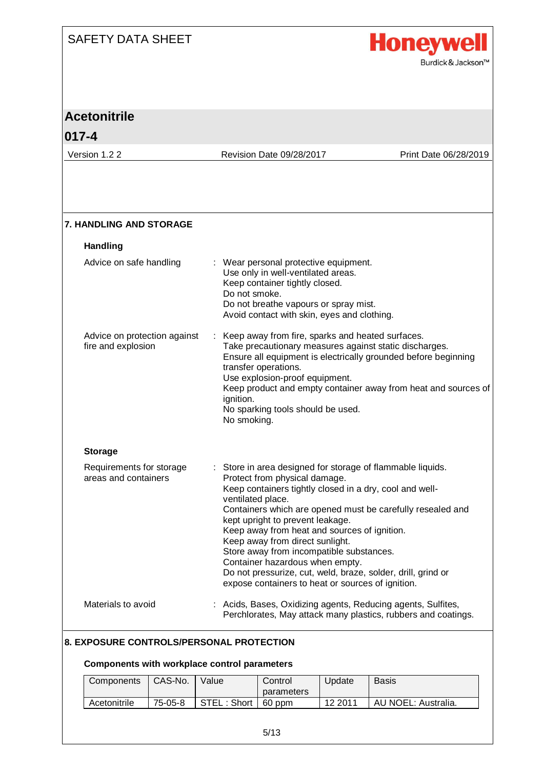

| <b>Acetonitrile</b>                                |                                                                                                                                                                                                                                                                                                                                                                                                                                                                                                                                                                      |                       |
|----------------------------------------------------|----------------------------------------------------------------------------------------------------------------------------------------------------------------------------------------------------------------------------------------------------------------------------------------------------------------------------------------------------------------------------------------------------------------------------------------------------------------------------------------------------------------------------------------------------------------------|-----------------------|
| $017 - 4$                                          |                                                                                                                                                                                                                                                                                                                                                                                                                                                                                                                                                                      |                       |
| Version 1.2 2                                      | Revision Date 09/28/2017                                                                                                                                                                                                                                                                                                                                                                                                                                                                                                                                             | Print Date 06/28/2019 |
|                                                    |                                                                                                                                                                                                                                                                                                                                                                                                                                                                                                                                                                      |                       |
| <b>7. HANDLING AND STORAGE</b>                     |                                                                                                                                                                                                                                                                                                                                                                                                                                                                                                                                                                      |                       |
| <b>Handling</b>                                    |                                                                                                                                                                                                                                                                                                                                                                                                                                                                                                                                                                      |                       |
| Advice on safe handling                            | Wear personal protective equipment.<br>Use only in well-ventilated areas.<br>Keep container tightly closed.<br>Do not smoke.<br>Do not breathe vapours or spray mist.<br>Avoid contact with skin, eyes and clothing.                                                                                                                                                                                                                                                                                                                                                 |                       |
| Advice on protection against<br>fire and explosion | : Keep away from fire, sparks and heated surfaces.<br>Take precautionary measures against static discharges.<br>Ensure all equipment is electrically grounded before beginning<br>transfer operations.<br>Use explosion-proof equipment.<br>Keep product and empty container away from heat and sources of<br>ignition.<br>No sparking tools should be used.<br>No smoking.                                                                                                                                                                                          |                       |
| <b>Storage</b>                                     |                                                                                                                                                                                                                                                                                                                                                                                                                                                                                                                                                                      |                       |
| Requirements for storage<br>areas and containers   | : Store in area designed for storage of flammable liquids.<br>Protect from physical damage.<br>Keep containers tightly closed in a dry, cool and well-<br>ventilated place.<br>Containers which are opened must be carefully resealed and<br>kept upright to prevent leakage.<br>Keep away from heat and sources of ignition.<br>Keep away from direct sunlight.<br>Store away from incompatible substances.<br>Container hazardous when empty.<br>Do not pressurize, cut, weld, braze, solder, drill, grind or<br>expose containers to heat or sources of ignition. |                       |
| Materials to avoid                                 | : Acids, Bases, Oxidizing agents, Reducing agents, Sulfites,<br>Perchlorates, May attack many plastics, rubbers and coatings.                                                                                                                                                                                                                                                                                                                                                                                                                                        |                       |

#### **8. EXPOSURE CONTROLS/PERSONAL PROTECTION**

#### **Components with workplace control parameters**

| Components   | CAS-No. | Valuel               | Control<br>parameters | Jpdate  | Basis               |
|--------------|---------|----------------------|-----------------------|---------|---------------------|
| Acetonitrile | 75-05-8 | STEL: Short   60 ppm |                       | 12 2011 | AU NOEL: Australia. |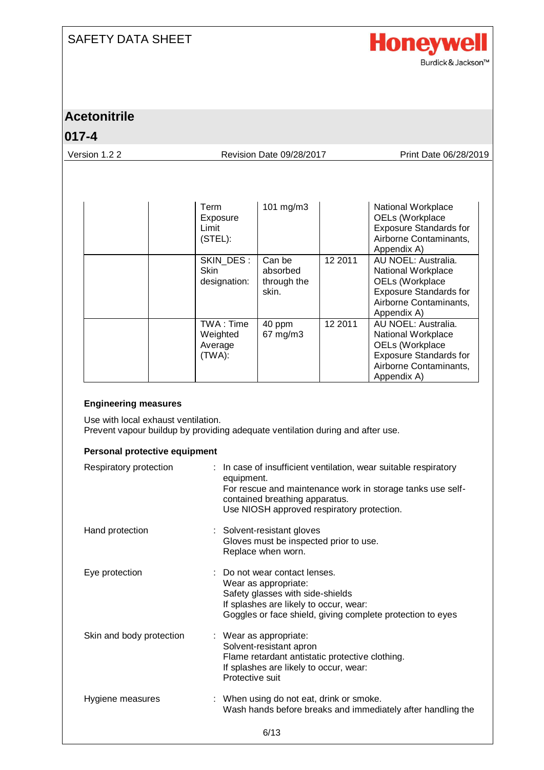

### **Acetonitrile**

#### **017-4**

Version 1.2 2 Revision Date 09/28/2017 Print Date 06/28/2019

| Term<br>Exposure<br>Limit<br>(STEL):       | 101 $mg/m3$                                |         | National Workplace<br>OELs (Workplace<br><b>Exposure Standards for</b><br>Airborne Contaminants,<br>Appendix A)                        |
|--------------------------------------------|--------------------------------------------|---------|----------------------------------------------------------------------------------------------------------------------------------------|
| SKIN DES:<br><b>Skin</b><br>designation:   | Can be<br>absorbed<br>through the<br>skin. | 12 2011 | AU NOEL: Australia.<br>National Workplace<br>OELs (Workplace<br><b>Exposure Standards for</b><br>Airborne Contaminants,<br>Appendix A) |
| TWA: Time<br>Weighted<br>Average<br>(TWA): | 40 ppm<br>67 mg/m3                         | 12 2011 | AU NOEL: Australia.<br>National Workplace<br>OELs (Workplace<br><b>Exposure Standards for</b><br>Airborne Contaminants,<br>Appendix A) |

#### **Engineering measures**

Use with local exhaust ventilation. Prevent vapour buildup by providing adequate ventilation during and after use.

#### **Personal protective equipment**

| Respiratory protection   | : In case of insufficient ventilation, wear suitable respiratory<br>equipment.<br>For rescue and maintenance work in storage tanks use self-<br>contained breathing apparatus.<br>Use NIOSH approved respiratory protection. |
|--------------------------|------------------------------------------------------------------------------------------------------------------------------------------------------------------------------------------------------------------------------|
| Hand protection          | : Solvent-resistant gloves<br>Gloves must be inspected prior to use.<br>Replace when worn.                                                                                                                                   |
| Eye protection           | : Do not wear contact lenses.<br>Wear as appropriate:<br>Safety glasses with side-shields<br>If splashes are likely to occur, wear:<br>Goggles or face shield, giving complete protection to eyes                            |
| Skin and body protection | : Wear as appropriate:<br>Solvent-resistant apron<br>Flame retardant antistatic protective clothing.<br>If splashes are likely to occur, wear:<br>Protective suit                                                            |
| Hygiene measures         | When using do not eat, drink or smoke.<br>Wash hands before breaks and immediately after handling the                                                                                                                        |
|                          | 6/13                                                                                                                                                                                                                         |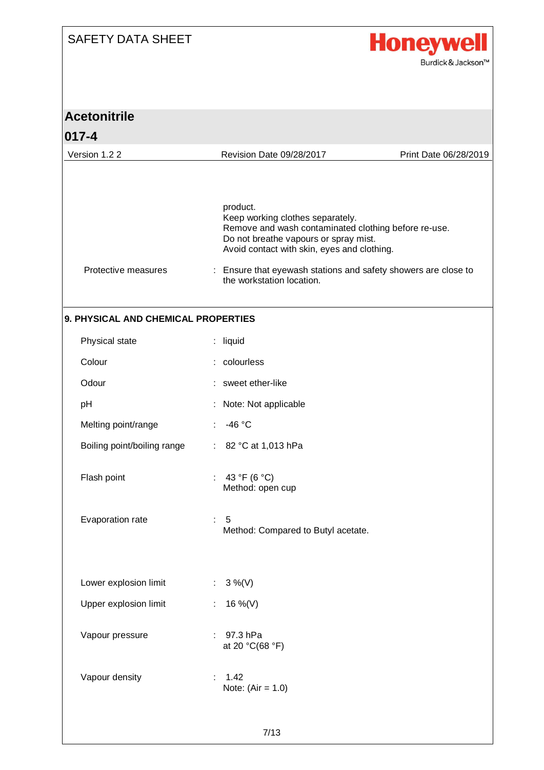

| <b>Acetonitrile</b>                 |   |                                                                                                                                                                                              |                       |
|-------------------------------------|---|----------------------------------------------------------------------------------------------------------------------------------------------------------------------------------------------|-----------------------|
| $017 - 4$                           |   |                                                                                                                                                                                              |                       |
| Version 1.2 2                       |   | Revision Date 09/28/2017                                                                                                                                                                     | Print Date 06/28/2019 |
|                                     |   |                                                                                                                                                                                              |                       |
|                                     |   | product.<br>Keep working clothes separately.<br>Remove and wash contaminated clothing before re-use.<br>Do not breathe vapours or spray mist.<br>Avoid contact with skin, eyes and clothing. |                       |
| Protective measures                 |   | : Ensure that eyewash stations and safety showers are close to<br>the workstation location.                                                                                                  |                       |
| 9. PHYSICAL AND CHEMICAL PROPERTIES |   |                                                                                                                                                                                              |                       |
| Physical state                      |   | : liquid                                                                                                                                                                                     |                       |
| Colour                              |   | : colourless                                                                                                                                                                                 |                       |
| Odour                               |   | sweet ether-like                                                                                                                                                                             |                       |
| pH                                  |   | Note: Not applicable                                                                                                                                                                         |                       |
| Melting point/range                 |   | $-46 °C$                                                                                                                                                                                     |                       |
| Boiling point/boiling range         |   | : $82 °C$ at 1,013 hPa                                                                                                                                                                       |                       |
| Flash point                         |   | 43 °F (6 °C)<br>Method: open cup                                                                                                                                                             |                       |
| Evaporation rate                    |   | $\therefore$ 5<br>Method: Compared to Butyl acetate.                                                                                                                                         |                       |
| Lower explosion limit               |   | : $3\%$ (V)                                                                                                                                                                                  |                       |
| Upper explosion limit               |   | 16 %(V)                                                                                                                                                                                      |                       |
| Vapour pressure                     |   | $: 97.3$ hPa<br>at 20 °C(68 °F)                                                                                                                                                              |                       |
| Vapour density                      | ÷ | 1.42<br>Note: $(Air = 1.0)$                                                                                                                                                                  |                       |
|                                     |   | 7/13                                                                                                                                                                                         |                       |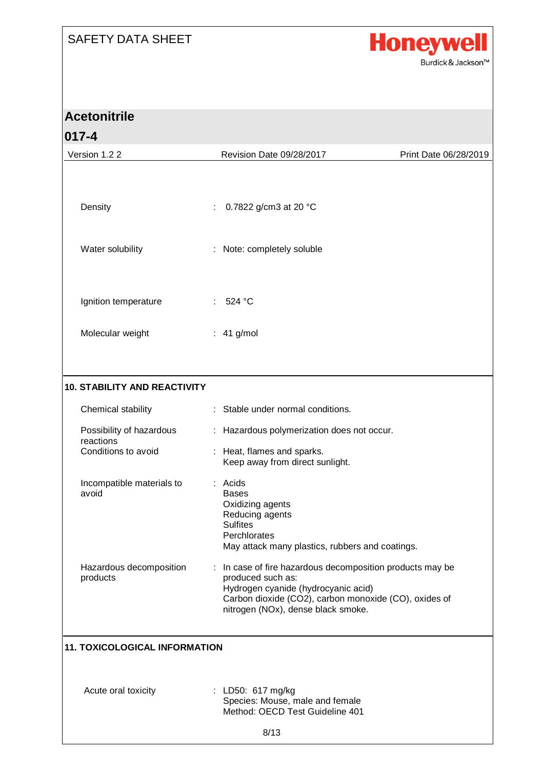

| <b>Acetonitrile</b>                  |  |                                                                                                                                                                                                                      |                       |
|--------------------------------------|--|----------------------------------------------------------------------------------------------------------------------------------------------------------------------------------------------------------------------|-----------------------|
| $017 - 4$                            |  |                                                                                                                                                                                                                      |                       |
| Version 1.2 2                        |  | Revision Date 09/28/2017                                                                                                                                                                                             | Print Date 06/28/2019 |
| Density                              |  | 0.7822 g/cm3 at 20 °C                                                                                                                                                                                                |                       |
| Water solubility                     |  | Note: completely soluble                                                                                                                                                                                             |                       |
| Ignition temperature                 |  | 524 °C                                                                                                                                                                                                               |                       |
| Molecular weight                     |  | $: 41$ g/mol                                                                                                                                                                                                         |                       |
| <b>10. STABILITY AND REACTIVITY</b>  |  |                                                                                                                                                                                                                      |                       |
| Chemical stability                   |  | Stable under normal conditions.                                                                                                                                                                                      |                       |
| Possibility of hazardous             |  | Hazardous polymerization does not occur.                                                                                                                                                                             |                       |
| reactions<br>Conditions to avoid     |  | Heat, flames and sparks.<br>Keep away from direct sunlight.                                                                                                                                                          |                       |
| Incompatible materials to<br>avoid   |  | : Acids<br>Bases<br>Oxidizing agents<br>Reducing agents<br><b>Sulfites</b><br>Perchlorates<br>May attack many plastics, rubbers and coatings.                                                                        |                       |
| Hazardous decomposition<br>products  |  | : In case of fire hazardous decomposition products may be<br>produced such as:<br>Hydrogen cyanide (hydrocyanic acid)<br>Carbon dioxide (CO2), carbon monoxide (CO), oxides of<br>nitrogen (NOx), dense black smoke. |                       |
| <b>11. TOXICOLOGICAL INFORMATION</b> |  |                                                                                                                                                                                                                      |                       |
| Acute oral toxicity                  |  | : LD50: 617 mg/kg<br>Species: Mouse, male and female<br>Method: OECD Test Guideline 401                                                                                                                              |                       |
|                                      |  | 8/13                                                                                                                                                                                                                 |                       |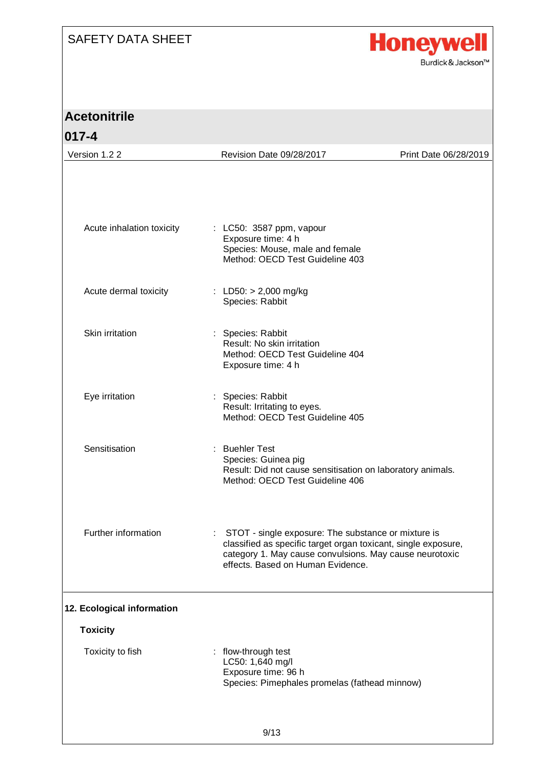

| <b>Acetonitrile</b>                           |                                                                                                                                                                                                                         |                       |
|-----------------------------------------------|-------------------------------------------------------------------------------------------------------------------------------------------------------------------------------------------------------------------------|-----------------------|
| $017 - 4$                                     |                                                                                                                                                                                                                         |                       |
| Version 1.2 2                                 | Revision Date 09/28/2017                                                                                                                                                                                                | Print Date 06/28/2019 |
| Acute inhalation toxicity                     | : LC50: 3587 ppm, vapour                                                                                                                                                                                                |                       |
|                                               | Exposure time: 4 h<br>Species: Mouse, male and female<br>Method: OECD Test Guideline 403                                                                                                                                |                       |
| Acute dermal toxicity                         | : LD50: $> 2,000$ mg/kg<br>Species: Rabbit                                                                                                                                                                              |                       |
| Skin irritation                               | : Species: Rabbit<br>Result: No skin irritation<br>Method: OECD Test Guideline 404<br>Exposure time: 4 h                                                                                                                |                       |
| Eye irritation                                | Species: Rabbit<br>Result: Irritating to eyes.<br>Method: OECD Test Guideline 405                                                                                                                                       |                       |
| Sensitisation                                 | : Buehler Test<br>Species: Guinea pig<br>Result: Did not cause sensitisation on laboratory animals.<br>Method: OECD Test Guideline 406                                                                                  |                       |
| Further information                           | : STOT - single exposure: The substance or mixture is<br>classified as specific target organ toxicant, single exposure,<br>category 1. May cause convulsions. May cause neurotoxic<br>effects. Based on Human Evidence. |                       |
| 12. Ecological information<br><b>Toxicity</b> |                                                                                                                                                                                                                         |                       |
|                                               |                                                                                                                                                                                                                         |                       |
| Toxicity to fish                              | : flow-through test<br>LC50: 1,640 mg/l<br>Exposure time: 96 h<br>Species: Pimephales promelas (fathead minnow)                                                                                                         |                       |
|                                               | Q/12                                                                                                                                                                                                                    |                       |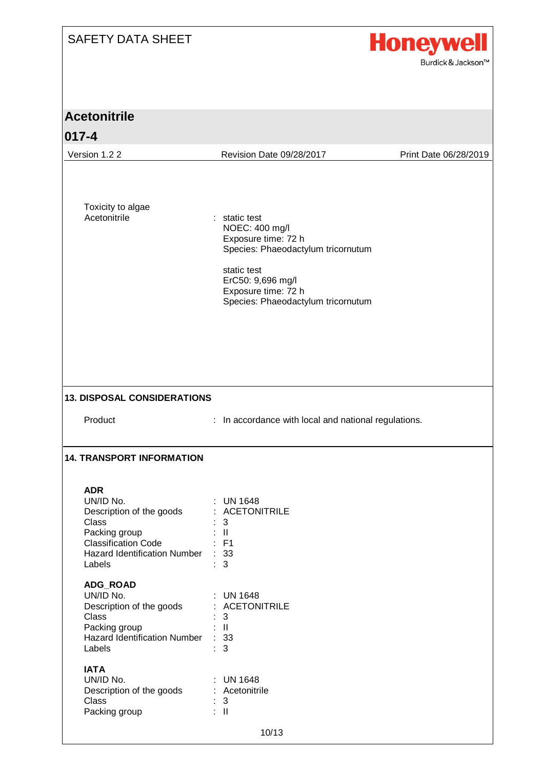

| <b>Acetonitrile</b>                                                                                                                                          |                                                                                                                                                                                               |                       |  |  |
|--------------------------------------------------------------------------------------------------------------------------------------------------------------|-----------------------------------------------------------------------------------------------------------------------------------------------------------------------------------------------|-----------------------|--|--|
| $ 017 - 4$                                                                                                                                                   |                                                                                                                                                                                               |                       |  |  |
| Version 1.2 2                                                                                                                                                | Revision Date 09/28/2017                                                                                                                                                                      | Print Date 06/28/2019 |  |  |
| Toxicity to algae<br>Acetonitrile                                                                                                                            | : static test<br>NOEC: 400 mg/l<br>Exposure time: 72 h<br>Species: Phaeodactylum tricornutum<br>static test<br>ErC50: 9,696 mg/l<br>Exposure time: 72 h<br>Species: Phaeodactylum tricornutum |                       |  |  |
| <b>13. DISPOSAL CONSIDERATIONS</b>                                                                                                                           |                                                                                                                                                                                               |                       |  |  |
| Product                                                                                                                                                      | : In accordance with local and national regulations.                                                                                                                                          |                       |  |  |
| <b>14. TRANSPORT INFORMATION</b>                                                                                                                             |                                                                                                                                                                                               |                       |  |  |
| <b>ADR</b><br>UN/ID No.<br>Description of the goods<br>Class<br>Packing group<br><b>Classification Code</b><br><b>Hazard Identification Number</b><br>Labels | <b>UN 1648</b><br>: ACETONITRILE<br>3<br>$\mathbb{R}^+$<br>$:$ F1<br>: 33<br>$\mathbf{3}$                                                                                                     |                       |  |  |
| ADG_ROAD<br>UN/ID No.<br>Description of the goods<br>Class<br>Packing group<br><b>Hazard Identification Number</b><br>Labels                                 | <b>UN 1648</b><br>÷<br>: ACETONITRILE<br>3<br>$\mathbf{II}$<br>: 33<br>3                                                                                                                      |                       |  |  |
| <b>IATA</b><br>UN/ID No.<br>Description of the goods<br>Class<br>Packing group                                                                               | : UN 1648<br>: Acetonitrile<br>: 3<br>$\therefore$ II<br>10/13                                                                                                                                |                       |  |  |
|                                                                                                                                                              |                                                                                                                                                                                               |                       |  |  |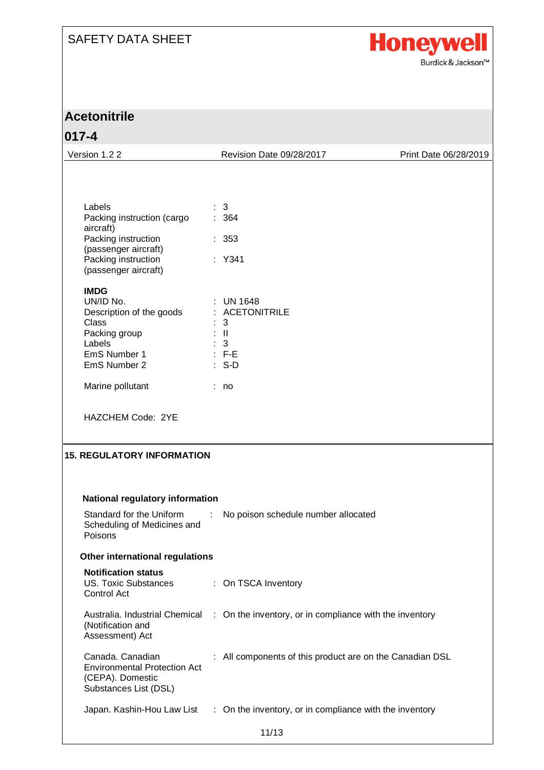

| <b>Acetonitrile</b>                                                                                  |                |                                                          |                       |
|------------------------------------------------------------------------------------------------------|----------------|----------------------------------------------------------|-----------------------|
| $017 - 4$                                                                                            |                |                                                          |                       |
| Version 1.2 2                                                                                        |                | Revision Date 09/28/2017                                 | Print Date 06/28/2019 |
|                                                                                                      |                |                                                          |                       |
| Labels                                                                                               |                | 3                                                        |                       |
| Packing instruction (cargo<br>aircraft)                                                              |                | 364                                                      |                       |
| Packing instruction<br>(passenger aircraft)                                                          |                | : 353                                                    |                       |
| Packing instruction<br>(passenger aircraft)                                                          |                | : Y341                                                   |                       |
| <b>IMDG</b><br>UN/ID No.                                                                             |                |                                                          |                       |
| Description of the goods                                                                             |                | $\therefore$ UN 1648<br>: ACETONITRILE                   |                       |
| Class<br>Packing group                                                                               | $\pm$ 11       | 3                                                        |                       |
| Labels                                                                                               | $\therefore$ 3 |                                                          |                       |
| EmS Number 1                                                                                         | $\cdots$ : F-E |                                                          |                       |
| EmS Number 2                                                                                         |                | $: S-D$                                                  |                       |
| Marine pollutant                                                                                     | : no           |                                                          |                       |
| HAZCHEM Code: 2YE                                                                                    |                |                                                          |                       |
| <b>15. REGULATORY INFORMATION</b>                                                                    |                |                                                          |                       |
| National regulatory information                                                                      |                |                                                          |                       |
| Standard for the Uniform<br>Scheduling of Medicines and<br>Poisons                                   | ÷              | No poison schedule number allocated                      |                       |
| Other international regulations                                                                      |                |                                                          |                       |
| <b>Notification status</b><br><b>US. Toxic Substances</b><br>Control Act                             |                | : On TSCA Inventory                                      |                       |
| Australia. Industrial Chemical<br>(Notification and<br>Assessment) Act                               |                | : On the inventory, or in compliance with the inventory  |                       |
| Canada. Canadian<br><b>Environmental Protection Act</b><br>(CEPA). Domestic<br>Substances List (DSL) |                | : All components of this product are on the Canadian DSL |                       |
| Japan. Kashin-Hou Law List                                                                           |                | : On the inventory, or in compliance with the inventory  |                       |
|                                                                                                      |                | 11/13                                                    |                       |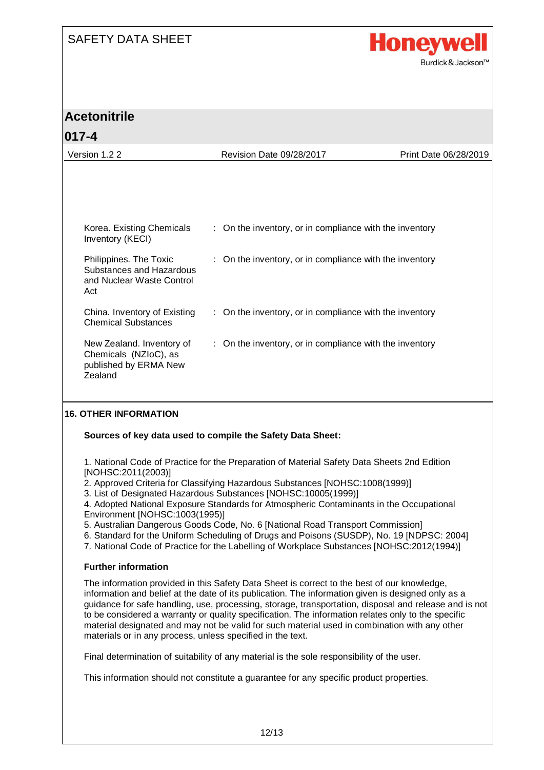

### **Acetonitrile**

#### **017-4** Version 1.2 2 Revision Date 09/28/2017 Print Date 06/28/2019 Korea. Existing Chemicals Inventory (KECI) : On the inventory, or in compliance with the inventory Philippines. The Toxic Substances and Hazardous and Nuclear Waste Control  $\Delta$  ct : On the inventory, or in compliance with the inventory China. Inventory of Existing Chemical Substances : On the inventory, or in compliance with the inventory New Zealand. Inventory of Chemicals (NZIoC), as published by ERMA New Zealand : On the inventory, or in compliance with the inventory

#### **16. OTHER INFORMATION**

#### **Sources of key data used to compile the Safety Data Sheet:**

1. National Code of Practice for the Preparation of Material Safety Data Sheets 2nd Edition [NOHSC:2011(2003)]

2. Approved Criteria for Classifying Hazardous Substances [NOHSC:1008(1999)]

3. List of Designated Hazardous Substances [NOHSC:10005(1999)]

4. Adopted National Exposure Standards for Atmospheric Contaminants in the Occupational Environment [NOHSC:1003(1995)]

- 5. Australian Dangerous Goods Code, No. 6 [National Road Transport Commission]
- 6. Standard for the Uniform Scheduling of Drugs and Poisons (SUSDP), No. 19 [NDPSC: 2004]
- 7. National Code of Practice for the Labelling of Workplace Substances [NOHSC:2012(1994)]

#### **Further information**

The information provided in this Safety Data Sheet is correct to the best of our knowledge, information and belief at the date of its publication. The information given is designed only as a guidance for safe handling, use, processing, storage, transportation, disposal and release and is not to be considered a warranty or quality specification. The information relates only to the specific material designated and may not be valid for such material used in combination with any other materials or in any process, unless specified in the text.

Final determination of suitability of any material is the sole responsibility of the user.

This information should not constitute a guarantee for any specific product properties.